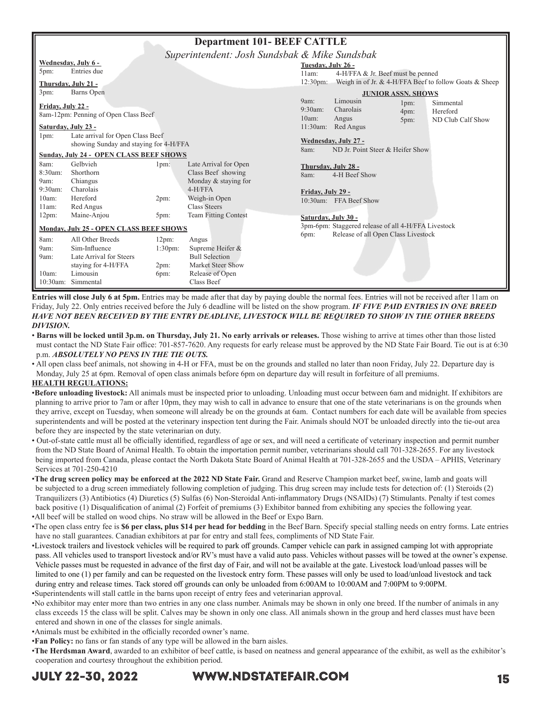| <b>Department 101- BEEF CATTLE</b>             |                                                |                    |                             |                                             |                                                     |      |                                                        |  |
|------------------------------------------------|------------------------------------------------|--------------------|-----------------------------|---------------------------------------------|-----------------------------------------------------|------|--------------------------------------------------------|--|
| Superintendent: Josh Sundsbak & Mike Sundsbak  |                                                |                    |                             |                                             |                                                     |      |                                                        |  |
|                                                | Wednesday, July 6 -<br>Tuesday, July 26 -      |                    |                             |                                             |                                                     |      |                                                        |  |
| 5pm:                                           | Entries due                                    |                    |                             | 4-H/FFA & Jr. Beef must be penned<br>11am:  |                                                     |      |                                                        |  |
|                                                | Thursday, July 21 -                            |                    |                             | $12:30 \text{pm}$ :                         |                                                     |      | Weigh in of Jr. & 4-H/FFA Beef to follow Goats & Sheep |  |
| 3pm:                                           | Barns Open                                     |                    |                             | <b>JUNIOR ASSN. SHOWS</b>                   |                                                     |      |                                                        |  |
| <b>Friday, July 22 -</b>                       |                                                |                    |                             | 9am:                                        | Limousin                                            | 1pm: | Simmental                                              |  |
|                                                | 8am-12pm: Penning of Open Class Beef           |                    |                             | $9:30$ am:                                  | Charolais                                           | 4pm: | Hereford                                               |  |
|                                                |                                                |                    |                             | 10am:                                       | Angus                                               | 5pm: | ND Club Calf Show                                      |  |
|                                                | Saturday, July 23 -                            |                    |                             |                                             | 11:30am: Red Angus                                  |      |                                                        |  |
| 1pm:                                           | Late arrival for Open Class Beef               |                    |                             |                                             | Wednesday, July 27 -                                |      |                                                        |  |
|                                                | showing Sunday and staying for 4-H/FFA         |                    |                             | 8am:                                        | ND Jr. Point Steer & Heifer Show                    |      |                                                        |  |
|                                                | <b>Sunday, July 24 - OPEN CLASS BEEF SHOWS</b> |                    |                             |                                             |                                                     |      |                                                        |  |
| 8am:                                           | Gelbvieh                                       | 1pm:               | Late Arrival for Open       |                                             | Thursday, July 28 -                                 |      |                                                        |  |
| 8:30am:                                        | Shorthorn                                      |                    | Class Beef showing          | 8am:                                        | 4-H Beef Show                                       |      |                                                        |  |
| 9am:                                           | Chiangus                                       |                    | Monday & staying for        |                                             |                                                     |      |                                                        |  |
| $9:30$ am:                                     | Charolais                                      |                    | $4-H/FFA$                   | Friday, July 29 -                           |                                                     |      |                                                        |  |
| 10am:                                          | Hereford                                       | 2pm:               | Weigh-in Open               |                                             | 10:30am: FFA Beef Show                              |      |                                                        |  |
| 11am:                                          | Red Angus                                      |                    | <b>Class Steers</b>         |                                             |                                                     |      |                                                        |  |
| 12pm:                                          | Maine-Anjou                                    | 5pm:               | <b>Team Fitting Contest</b> |                                             | Saturday, July 30 -                                 |      |                                                        |  |
|                                                |                                                |                    |                             |                                             | 3pm-6pm: Staggered release of all 4-H/FFA Livestock |      |                                                        |  |
| <b>Monday, July 25 - OPEN CLASS BEEF SHOWS</b> |                                                |                    |                             | Release of all Open Class Livestock<br>6pm: |                                                     |      |                                                        |  |
| 8am:                                           | All Other Breeds                               | 12pm:              | Angus                       |                                             |                                                     |      |                                                        |  |
| 9am:                                           | Sim-Influence                                  | 1:30 <sub>pm</sub> | Supreme Heifer &            |                                             |                                                     |      |                                                        |  |
| 9am:                                           | Late Arrival for Steers                        |                    | <b>Bull Selection</b>       |                                             |                                                     |      |                                                        |  |
|                                                | staying for 4-H/FFA                            | 2pm:               | Market Steer Show           |                                             |                                                     |      |                                                        |  |
| 10am:                                          | Limousin                                       | 6pm:               | Release of Open             |                                             |                                                     |      |                                                        |  |
| 10:30am:                                       | Simmental                                      |                    | Class Beef                  |                                             |                                                     |      |                                                        |  |

**Entries will close July 6 at 5pm.** Entries may be made after that day by paying double the normal fees. Entries will not be received after 11am on Friday, July 22. Only entries received before the July 6 deadline will be listed on the show program. *IF FIVE PAID ENTRIES IN ONE BREED HAVE NOT BEEN RECEIVED BY THE ENTRY DEADLINE, LIVESTOCK WILL BE REQUIRED TO SHOW IN THE OTHER BREEDS DIVISION.*

- **Barns will be locked until 3p.m. on Thursday, July 21. No early arrivals or releases.** Those wishing to arrive at times other than those listed must contact the ND State Fair office: 701-857-7620. Any requests for early release must be approved by the ND State Fair Board. Tie out is at 6:30 p.m. *ABSOLUTELY NO PENS IN THE TIE OUTS.*
- All open class beef animals, not showing in 4-H or FFA, must be on the grounds and stalled no later than noon Friday, July 22. Departure day is Monday, July 25 at 6pm. Removal of open class animals before 6pm on departure day will result in forfeiture of all premiums.

#### **HEALTH REGULATIONS:**

- •**Before unloading livestock:** All animals must be inspected prior to unloading. Unloading must occur between 6am and midnight. If exhibitors are planning to arrive prior to 7am or after 10pm, they may wish to call in advance to ensure that one of the state veterinarians is on the grounds when they arrive, except on Tuesday, when someone will already be on the grounds at 6am. Contact numbers for each date will be available from species superintendents and will be posted at the veterinary inspection tent during the Fair. Animals should NOT be unloaded directly into the tie-out area before they are inspected by the state veterinarian on duty.
- Out-of-state cattle must all be officially identified, regardless of age or sex, and will need a certificate of veterinary inspection and permit number from the ND State Board of Animal Health. To obtain the importation permit number, veterinarians should call 701-328-2655. For any livestock being imported from Canada, please contact the North Dakota State Board of Animal Health at 701-328-2655 and the USDA – APHIS, Veterinary Services at 701-250-4210
- •**The drug screen policy may be enforced at the 2022 ND State Fair.** Grand and Reserve Champion market beef, swine, lamb and goats will be subjected to a drug screen immediately following completion of judging. This drug screen may include tests for detection of: (1) Steroids (2) Tranquilizers (3) Antibiotics (4) Diuretics (5) Sulfas (6) Non-Steroidal Anti-inflammatory Drugs (NSAIDs) (7) Stimulants. Penalty if test comes back positive (1) Disqualification of animal (2) Forfeit of premiums (3) Exhibitor banned from exhibiting any species the following year.
- •All beef will be stalled on wood chips. No straw will be allowed in the Beef or Expo Barn.
- •The open class entry fee is **\$6 per class, plus \$14 per head for bedding** in the Beef Barn. Specify special stalling needs on entry forms. Late entries have no stall guarantees. Canadian exhibitors at par for entry and stall fees, compliments of ND State Fair.
- •Livestock trailers and livestock vehicles will be required to park off grounds. Camper vehicle can park in assigned camping lot with appropriate pass. All vehicles used to transport livestock and/or RV's must have a valid auto pass. Vehicles without passes will be towed at the owner's expense. Vehicle passes must be requested in advance of the first day of Fair, and will not be available at the gate. Livestock load/unload passes will be limited to one (1) per family and can be requested on the livestock entry form. These passes will only be used to load/unload livestock and tack during entry and release times. Tack stored off grounds can only be unloaded from 6:00AM to 10:00AM and 7:00PM to 9:00PM.
- •Superintendents will stall cattle in the barns upon receipt of entry fees and veterinarian approval.
- •No exhibitor may enter more than two entries in any one class number. Animals may be shown in only one breed. If the number of animals in any class exceeds 15 the class will be split. Calves may be shown in only one class. All animals shown in the group and herd classes must have been entered and shown in one of the classes for single animals.
- •Animals must be exhibited in the officially recorded owner's name.
- •**Fan Policy:** no fans or fan stands of any type will be allowed in the barn aisles.
- •**The Herdsman Award**, awarded to an exhibitor of beef cattle, is based on neatness and general appearance of the exhibit, as well as the exhibitor's cooperation and courtesy throughout the exhibition period.

## JULY 22-30, 2022 WWW.NDSTATEFAIR.COM 15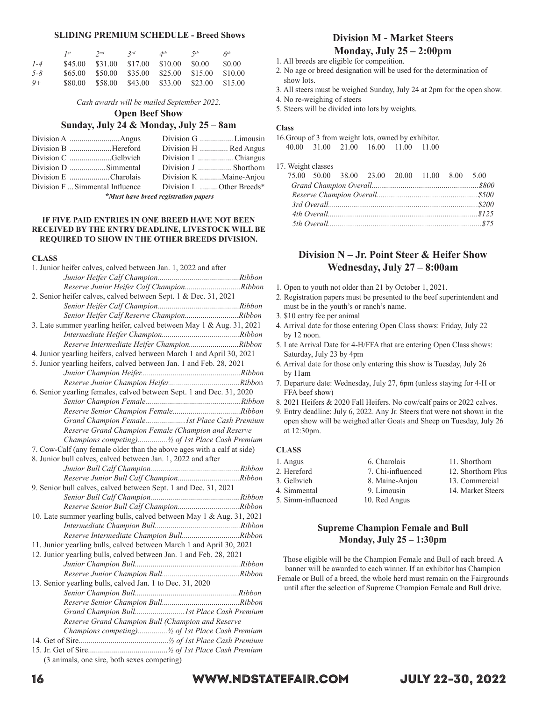#### **SLIDING PREMIUM SCHEDULE - Breed Shows**

|         | $I^{st}$ | 2nd             | 2rd             | $\mathcal{A}^{th}$              | 5 <sup>th</sup> | 6 <sup>th</sup> |
|---------|----------|-----------------|-----------------|---------------------------------|-----------------|-----------------|
| $1 - 4$ | \$45.00  | \$31.00         | \$17.00 \$10.00 |                                 | \$0.00          | \$0.00          |
| $5 - 8$ |          | \$65,00 \$50,00 |                 | \$35.00 \$25.00 \$15.00         |                 | \$10.00         |
| $9+$    | \$80.00  | \$58.00         |                 | \$43.00 \$33.00 \$23.00 \$15.00 |                 |                 |

*Cash awards will be mailed September 2022.*

**Open Beef Show**

#### **Sunday, July 24 & Monday, July 25 – 8am**

|                                 | Division G Limousin      |
|---------------------------------|--------------------------|
| Division B Hereford             | Division H  Red Angus    |
| Division C Gelbvieh             | Division I Chiangus      |
|                                 | Division J  Shorthorn    |
| Division E Charolais            | Division K Maine-Anjou   |
| Division F  Simmental Influence | Division L Other Breeds* |
|                                 |                          |

*\*Must have breed registration papers*

#### **IF FIVE PAID ENTRIES IN ONE BREED HAVE NOT BEEN RECEIVED BY THE ENTRY DEADLINE, LIVESTOCK WILL BE REQUIRED TO SHOW IN THE OTHER BREEDS DIVISION.**

## **CLASS**

| 1. Junior heifer calves, calved between Jan. 1, 2022 and after         |
|------------------------------------------------------------------------|
|                                                                        |
| Reserve Junior Heifer Calf ChampionRibbon                              |
| 2. Senior heifer calves, calved between Sept. 1 & Dec. 31, 2021        |
|                                                                        |
| Senior Heifer Calf Reserve ChampionRibbon                              |
| 3. Late summer yearling heifer, calved between May 1 & Aug. 31, 2021   |
|                                                                        |
| Reserve Intermediate Heifer ChampionRibbon                             |
| 4. Junior yearling heifers, calved between March 1 and April 30, 2021  |
| 5. Junior yearling heifers, calved between Jan. 1 and Feb. 28, 2021    |
|                                                                        |
|                                                                        |
| 6. Senior yearling females, calved between Sept. 1 and Dec. 31, 2020   |
|                                                                        |
|                                                                        |
| Grand Champion Female 1st Place Cash Premium                           |
| Reserve Grand Champion Female (Champion and Reserve                    |
| Champions competing) 1/2 of 1st Place Cash Premium                     |
| 7. Cow-Calf (any female older than the above ages with a calf at side) |
| 8. Junior bull calves, calved between Jan. 1, 2022 and after           |
|                                                                        |
| Reserve Junior Bull Calf ChampionRibbon                                |
| 9. Senior bull calves, calved between Sept. 1 and Dec. 31, 2021        |
|                                                                        |
|                                                                        |
| 10. Late summer yearling bulls, calved between May 1 & Aug. 31, 2021   |
|                                                                        |
| Reserve Intermediate Champion BullRibbon                               |
| 11. Junior yearling bulls, calved between March 1 and April 30, 2021   |
| 12. Junior yearling bulls, calved between Jan. 1 and Feb. 28, 2021     |
|                                                                        |
|                                                                        |
| 13. Senior yearling bulls, calved Jan. 1 to Dec. 31, 2020              |
|                                                                        |
|                                                                        |
| Grand Champion Bull 1st Place Cash Premium                             |
| Reserve Grand Champion Bull (Champion and Reserve                      |
| Champions competing) 1/2 of 1st Place Cash Premium                     |
|                                                                        |
|                                                                        |
| (3 animals, one sire, both sexes competing)                            |
|                                                                        |

## **Division M - Market Steers Monday, July 25 – 2:00pm**

- 1. All breeds are eligible for competition.
- 2. No age or breed designation will be used for the determination of show lots.
- 3. All steers must be weighed Sunday, July 24 at 2pm for the open show.
- 4. No re-weighing of steers
- 5. Steers will be divided into lots by weights.

#### **Class**

16.Group of 3 from weight lots, owned by exhibitor. 40.00 31.00 21.00 16.00 11.00 11.00

17. Weight classes

|  |  | 75.00 50.00 38.00 23.00 20.00 11.00 8.00 5.00 |  |  |
|--|--|-----------------------------------------------|--|--|
|  |  |                                               |  |  |
|  |  |                                               |  |  |
|  |  |                                               |  |  |
|  |  |                                               |  |  |
|  |  |                                               |  |  |

### **Division N – Jr. Point Steer & Heifer Show Wednesday, July 27 – 8:00am**

- 1. Open to youth not older than 21 by October 1, 2021.
- 2. Registration papers must be presented to the beef superintendent and must be in the youth's or ranch's name.
- 3. \$10 entry fee per animal
- 4. Arrival date for those entering Open Class shows: Friday, July 22 by 12 noon.
- 5. Late Arrival Date for 4-H/FFA that are entering Open Class shows: Saturday, July 23 by 4pm
- 6. Arrival date for those only entering this show is Tuesday, July 26 by 11am
- 7. Departure date: Wednesday, July 27, 6pm (unless staying for 4-H or FFA beef show)
- 8. 2021 Heifers & 2020 Fall Heifers. No cow/calf pairs or 2022 calves.
- 9. Entry deadline: July 6, 2022. Any Jr. Steers that were not shown in the open show will be weighed after Goats and Sheep on Tuesday, July 26 at 12:30pm.

#### **CLASS**

- 
- 
- 
- 
- 5. Simm-influenced 10. Red Angus
- 2. Hereford 7. Chi-influenced 12. Shorthorn Plus 3. Gelbvieh 8. Maine-Anjou 13. Commercial
- 1. Angus 6. Charolais 11. Shorthorn
	-
	- -
- 
- 
- 4. Simmental 9. Limousin 14. Market Steers

#### **Supreme Champion Female and Bull Monday, July 25 – 1:30pm**

Those eligible will be the Champion Female and Bull of each breed. A banner will be awarded to each winner. If an exhibitor has Champion Female or Bull of a breed, the whole herd must remain on the Fairgrounds until after the selection of Supreme Champion Female and Bull drive.

## 16 WWW.NDSTATEFAIR.COM JULY 22-30, 2022